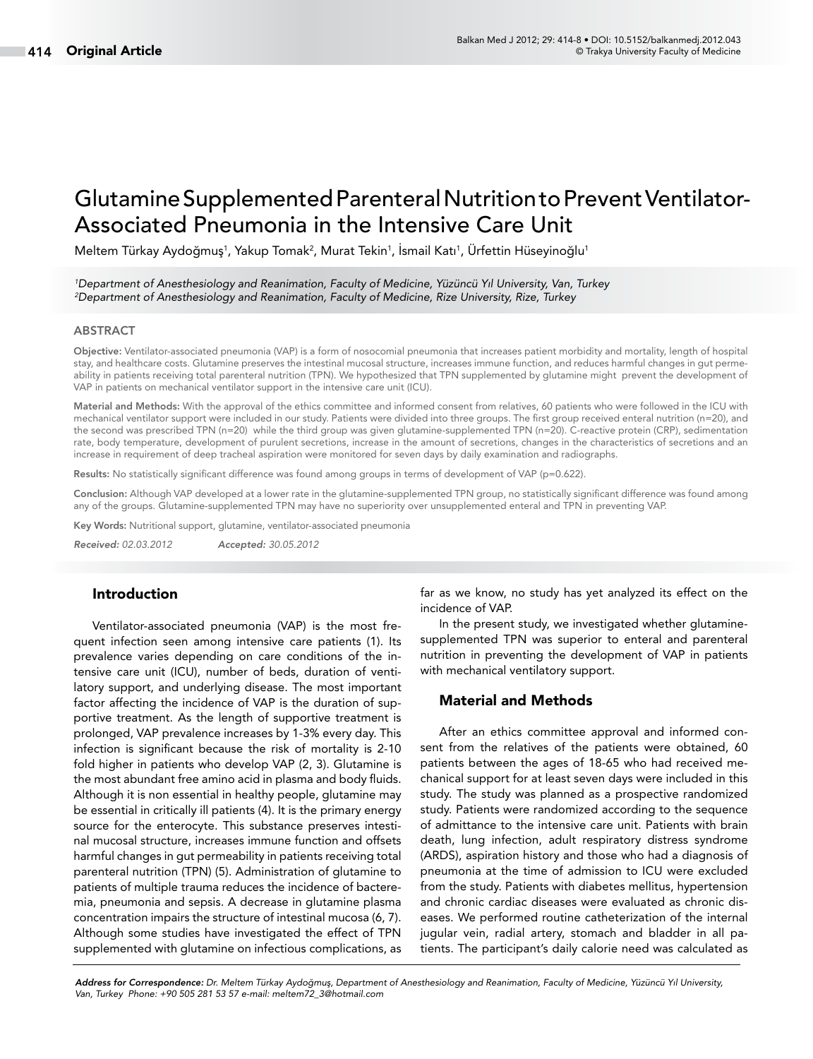# Glutamine Supplemented Parenteral Nutrition to Prevent Ventilator-Associated Pneumonia in the Intensive Care Unit

Meltem Türkay Aydoğmuş<sup>1</sup>, Yakup Tomak<sup>2</sup>, Murat Tekin<sup>1</sup>, Ismail Katı<sup>1</sup>, Ürfettin Hüseyinoğlu<sup>1</sup>

*1 Department of Anesthesiology and Reanimation, Faculty of Medicine, Yüzüncü Yıl University, Van, Turkey 2 Department of Anesthesiology and Reanimation, Faculty of Medicine, Rize University, Rize, Turkey*

#### ABSTRACT

Objective: Ventilator-associated pneumonia (VAP) is a form of nosocomial pneumonia that increases patient morbidity and mortality, length of hospital stay, and healthcare costs. Glutamine preserves the intestinal mucosal structure, increases immune function, and reduces harmful changes in gut permeability in patients receiving total parenteral nutrition (TPN). We hypothesized that TPN supplemented by glutamine might prevent the development of VAP in patients on mechanical ventilator support in the intensive care unit (ICU).

Material and Methods: With the approval of the ethics committee and informed consent from relatives, 60 patients who were followed in the ICU with mechanical ventilator support were included in our study. Patients were divided into three groups. The first group received enteral nutrition (n=20), and the second was prescribed TPN (n=20) while the third group was given glutamine-supplemented TPN (n=20). C-reactive protein (CRP), sedimentation rate, body temperature, development of purulent secretions, increase in the amount of secretions, changes in the characteristics of secretions and an increase in requirement of deep tracheal aspiration were monitored for seven days by daily examination and radiographs.

Results: No statistically significant difference was found among groups in terms of development of VAP (p=0.622).

Conclusion: Although VAP developed at a lower rate in the glutamine-supplemented TPN group, no statistically significant difference was found among any of the groups. Glutamine-supplemented TPN may have no superiority over unsupplemented enteral and TPN in preventing VAP.

Key Words: Nutritional support, glutamine, ventilator-associated pneumonia

*Received: 02.03.2012 Accepted: 30.05.2012*

## Introduction

Ventilator-associated pneumonia (VAP) is the most frequent infection seen among intensive care patients (1). Its prevalence varies depending on care conditions of the intensive care unit (ICU), number of beds, duration of ventilatory support, and underlying disease. The most important factor affecting the incidence of VAP is the duration of supportive treatment. As the length of supportive treatment is prolonged, VAP prevalence increases by 1-3% every day. This infection is significant because the risk of mortality is 2-10 fold higher in patients who develop VAP (2, 3). Glutamine is the most abundant free amino acid in plasma and body fluids. Although it is non essential in healthy people, glutamine may be essential in critically ill patients (4). It is the primary energy source for the enterocyte. This substance preserves intestinal mucosal structure, increases immune function and offsets harmful changes in gut permeability in patients receiving total parenteral nutrition (TPN) (5). Administration of glutamine to patients of multiple trauma reduces the incidence of bacteremia, pneumonia and sepsis. A decrease in glutamine plasma concentration impairs the structure of intestinal mucosa (6, 7). Although some studies have investigated the effect of TPN supplemented with glutamine on infectious complications, as far as we know, no study has yet analyzed its effect on the incidence of VAP.

In the present study, we investigated whether glutaminesupplemented TPN was superior to enteral and parenteral nutrition in preventing the development of VAP in patients with mechanical ventilatory support.

### Material and Methods

After an ethics committee approval and informed consent from the relatives of the patients were obtained, 60 patients between the ages of 18-65 who had received mechanical support for at least seven days were included in this study. The study was planned as a prospective randomized study. Patients were randomized according to the sequence of admittance to the intensive care unit. Patients with brain death, lung infection, adult respiratory distress syndrome (ARDS), aspiration history and those who had a diagnosis of pneumonia at the time of admission to ICU were excluded from the study. Patients with diabetes mellitus, hypertension and chronic cardiac diseases were evaluated as chronic diseases. We performed routine catheterization of the internal jugular vein, radial artery, stomach and bladder in all patients. The participant's daily calorie need was calculated as

*Address for Correspondence: Dr. Meltem Türkay Aydoğmuş, Department of Anesthesiology and Reanimation, Faculty of Medicine, Yüzüncü Yıl University, Van, Turkey Phone: +90 505 281 53 57 e-mail: meltem72\_3@hotmail.com*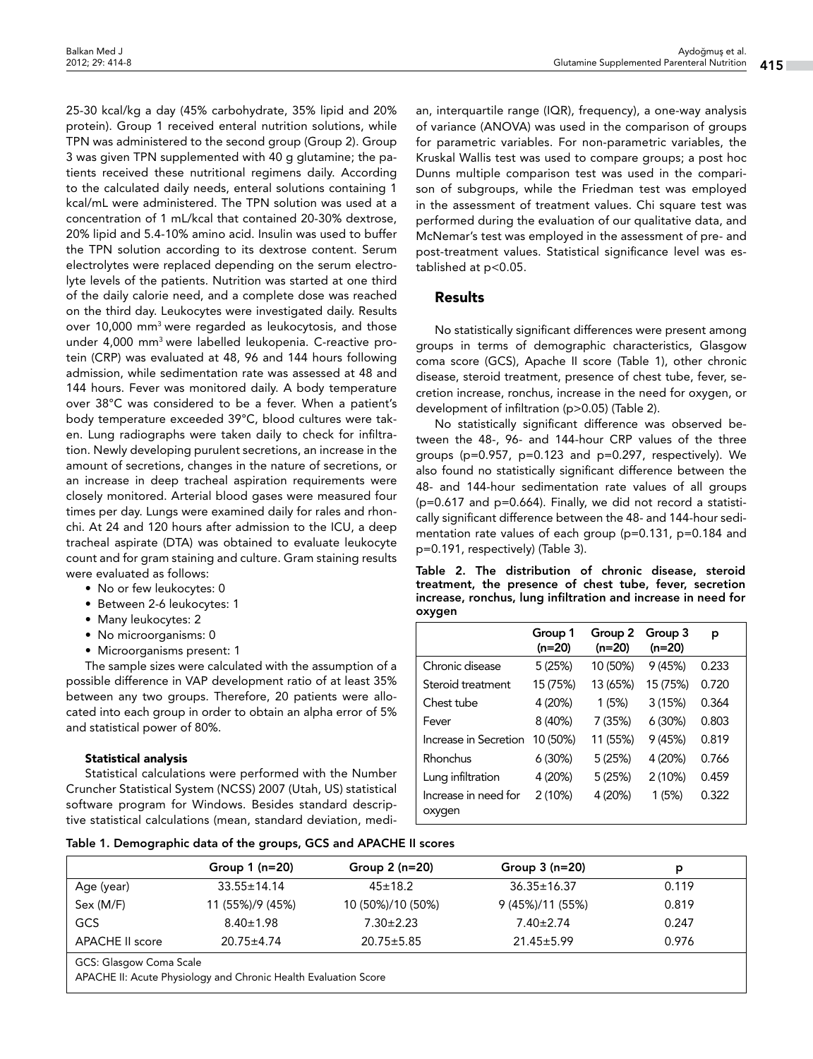25-30 kcal/kg a day (45% carbohydrate, 35% lipid and 20% protein). Group 1 received enteral nutrition solutions, while TPN was administered to the second group (Group 2). Group 3 was given TPN supplemented with 40 g glutamine; the patients received these nutritional regimens daily. According to the calculated daily needs, enteral solutions containing 1 kcal/mL were administered. The TPN solution was used at a concentration of 1 mL/kcal that contained 20-30% dextrose, 20% lipid and 5.4-10% amino acid. Insulin was used to buffer the TPN solution according to its dextrose content. Serum electrolytes were replaced depending on the serum electrolyte levels of the patients. Nutrition was started at one third of the daily calorie need, and a complete dose was reached on the third day. Leukocytes were investigated daily. Results over 10,000 mm3 were regarded as leukocytosis, and those under 4,000 mm3 were labelled leukopenia. C-reactive protein (CRP) was evaluated at 48, 96 and 144 hours following admission, while sedimentation rate was assessed at 48 and 144 hours. Fever was monitored daily. A body temperature over 38°C was considered to be a fever. When a patient's body temperature exceeded 39°C, blood cultures were taken. Lung radiographs were taken daily to check for infiltration. Newly developing purulent secretions, an increase in the amount of secretions, changes in the nature of secretions, or an increase in deep tracheal aspiration requirements were closely monitored. Arterial blood gases were measured four times per day. Lungs were examined daily for rales and rhonchi. At 24 and 120 hours after admission to the ICU, a deep tracheal aspirate (DTA) was obtained to evaluate leukocyte count and for gram staining and culture. Gram staining results were evaluated as follows:

- No or few leukocytes: 0
- Between 2-6 leukocytes: 1
- Many leukocytes: 2
- No microorganisms: 0
- Microorganisms present: 1

The sample sizes were calculated with the assumption of a possible difference in VAP development ratio of at least 35% between any two groups. Therefore, 20 patients were allocated into each group in order to obtain an alpha error of 5% and statistical power of 80%.

## Statistical analysis

Statistical calculations were performed with the Number Cruncher Statistical System (NCSS) 2007 (Utah, US) statistical software program for Windows. Besides standard descriptive statistical calculations (mean, standard deviation, medi-

an, interquartile range (IQR), frequency), a one-way analysis of variance (ANOVA) was used in the comparison of groups for parametric variables. For non-parametric variables, the Kruskal Wallis test was used to compare groups; a post hoc Dunns multiple comparison test was used in the comparison of subgroups, while the Friedman test was employed in the assessment of treatment values. Chi square test was performed during the evaluation of our qualitative data, and McNemar's test was employed in the assessment of pre- and post-treatment values. Statistical significance level was established at p<0.05.

# Results

No statistically significant differences were present among groups in terms of demographic characteristics, Glasgow coma score (GCS), Apache II score (Table 1), other chronic disease, steroid treatment, presence of chest tube, fever, secretion increase, ronchus, increase in the need for oxygen, or development of infiltration (p>0.05) (Table 2).

No statistically significant difference was observed between the 48-, 96- and 144-hour CRP values of the three groups (p=0.957, p=0.123 and p=0.297, respectively). We also found no statistically significant difference between the 48- and 144-hour sedimentation rate values of all groups (p=0.617 and p=0.664). Finally, we did not record a statistically significant difference between the 48- and 144-hour sedimentation rate values of each group (p=0.131, p=0.184 and p=0.191, respectively) (Table 3).

Table 2. The distribution of chronic disease, steroid treatment, the presence of chest tube, fever, secretion increase, ronchus, lung infiltration and increase in need for oxygen

| . .                            |                     |                   |                   |       |
|--------------------------------|---------------------|-------------------|-------------------|-------|
|                                | Group 1<br>$(n=20)$ | Group 2<br>(n=20) | Group 3<br>(n=20) | р     |
| Chronic disease                | 5(25%)              | 10 (50%)          | 9(45%)            | 0.233 |
| Steroid treatment              | 15 (75%)            | 13 (65%)          | 15 (75%)          | 0.720 |
| Chest tube                     | 4 (20%)             | 1(5%)             | 3(15%)            | 0.364 |
| Fever                          | 8 (40%)             | 7 (35%)           | 6(30%)            | 0.803 |
| Increase in Secretion          | 10 (50%)            | 11 (55%)          | 9(45%)            | 0.819 |
| Rhonchus                       | 6(30%)              | 5(25%)            | 4 (20%)           | 0.766 |
| Lung infiltration              | 4 (20%)             | 5(25%)            | 2(10%)            | 0.459 |
| Increase in need for<br>oxygen | 2(10%)              | 4 (20%)           | 1(5%)             | 0.322 |

Table 1. Demographic data of the groups, GCS and APACHE II scores

|                                                                                            | Group $1$ (n=20)  | Group $2(n=20)$   | Group $3(n=20)$   | p     |  |  |  |
|--------------------------------------------------------------------------------------------|-------------------|-------------------|-------------------|-------|--|--|--|
| Age (year)                                                                                 | $33.55 \pm 14.14$ | $45 \pm 18.2$     | $36.35 \pm 16.37$ | 0.119 |  |  |  |
| Sex (M/F)                                                                                  | 11 (55%)/9 (45%)  | 10 (50%)/10 (50%) | 9(45%)/11(55%)    | 0.819 |  |  |  |
| GCS                                                                                        | $8.40 \pm 1.98$   | $7.30 \pm 2.23$   | $7.40 \pm 2.74$   | 0.247 |  |  |  |
| APACHE II score                                                                            | $20.75 \pm 4.74$  | $20.75 \pm 5.85$  | $21.45 \pm 5.99$  | 0.976 |  |  |  |
| GCS: Glasgow Coma Scale<br>APACHE II: Acute Physiology and Chronic Health Evaluation Score |                   |                   |                   |       |  |  |  |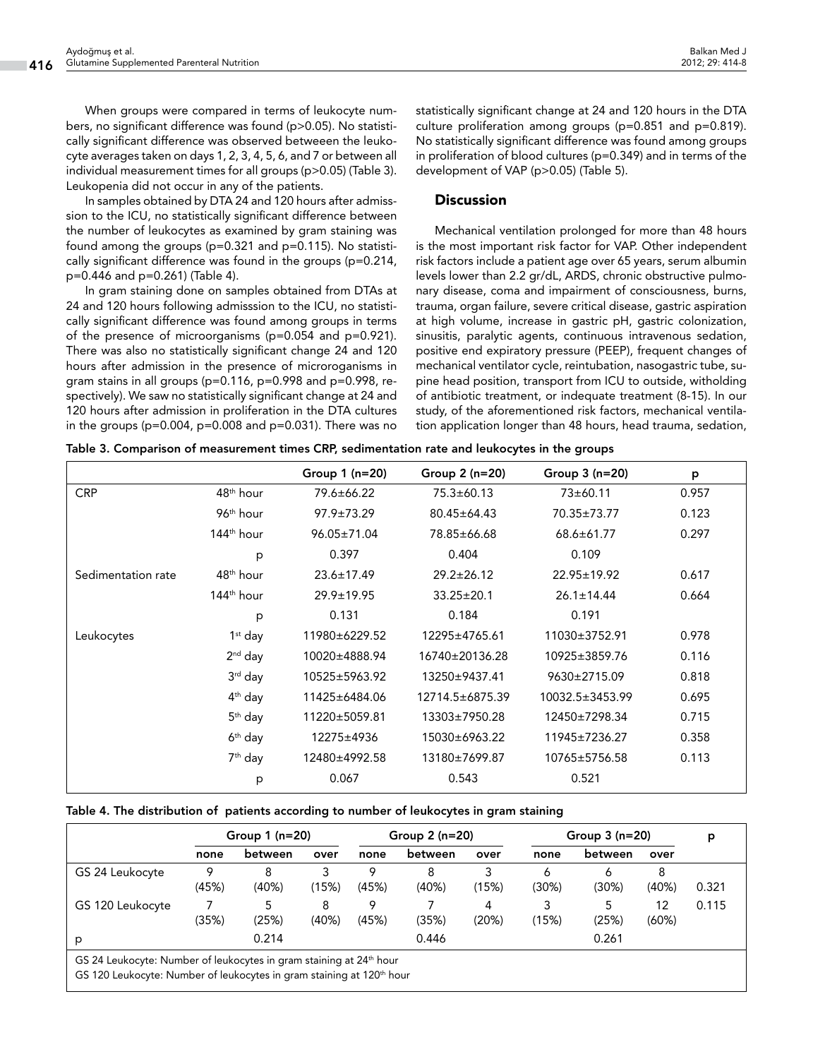Balkan Med J 2012; 29: 414-8

When groups were compared in terms of leukocyte numbers, no significant difference was found (p>0.05). No statistically significant difference was observed betweeen the leukocyte averages taken on days 1, 2, 3, 4, 5, 6, and 7 or between all individual measurement times for all groups (p>0.05) (Table 3). Leukopenia did not occur in any of the patients.

In samples obtained by DTA 24 and 120 hours after admisssion to the ICU, no statistically significant difference between the number of leukocytes as examined by gram staining was found among the groups (p=0.321 and p=0.115). No statistically significant difference was found in the groups (p=0.214, p=0.446 and p=0.261) (Table 4).

In gram staining done on samples obtained from DTAs at 24 and 120 hours following admisssion to the ICU, no statistically significant difference was found among groups in terms of the presence of microorganisms (p=0.054 and p=0.921). There was also no statistically significant change 24 and 120 hours after admission in the presence of microroganisms in gram stains in all groups (p=0.116, p=0.998 and p=0.998, respectively). We saw no statistically significant change at 24 and 120 hours after admission in proliferation in the DTA cultures in the groups ( $p=0.004$ ,  $p=0.008$  and  $p=0.031$ ). There was no

statistically significant change at 24 and 120 hours in the DTA culture proliferation among groups (p=0.851 and p=0.819). No statistically significant difference was found among groups in proliferation of blood cultures (p=0.349) and in terms of the development of VAP (p>0.05) (Table 5).

## **Discussion**

Mechanical ventilation prolonged for more than 48 hours is the most important risk factor for VAP. Other independent risk factors include a patient age over 65 years, serum albumin levels lower than 2.2 gr/dL, ARDS, chronic obstructive pulmonary disease, coma and impairment of consciousness, burns, trauma, organ failure, severe critical disease, gastric aspiration at high volume, increase in gastric pH, gastric colonization, sinusitis, paralytic agents, continuous intravenous sedation, positive end expiratory pressure (PEEP), frequent changes of mechanical ventilator cycle, reintubation, nasogastric tube, supine head position, transport from ICU to outside, witholding of antibiotic treatment, or indequate treatment (8-15). In our study, of the aforementioned risk factors, mechanical ventilation application longer than 48 hours, head trauma, sedation,

|                    |                        | Group $1$ (n=20) | Group $2(n=20)$   | Group $3(n=20)$  | p     |
|--------------------|------------------------|------------------|-------------------|------------------|-------|
| <b>CRP</b>         | 48 <sup>th</sup> hour  |                  | $75.3 \pm 60.13$  | 73±60.11         | 0.957 |
|                    | 96 <sup>th</sup> hour  | $97.9 \pm 73.29$ | $80.45 \pm 64.43$ | 70.35±73.77      | 0.123 |
|                    | 144 <sup>th</sup> hour | 96.05±71.04      | 78.85±66.68       | $68.6 \pm 61.77$ | 0.297 |
|                    | p                      | 0.397            | 0.404             | 0.109            |       |
| Sedimentation rate | 48 <sup>th</sup> hour  | $23.6 \pm 17.49$ | $29.2 \pm 26.12$  | 22.95±19.92      | 0.617 |
|                    | $144th$ hour           | $29.9 \pm 19.95$ | $33.25 \pm 20.1$  | $26.1 \pm 14.44$ | 0.664 |
|                    | p                      | 0.131            | 0.184             | 0.191            |       |
| Leukocytes         | $1st$ day              | 11980±6229.52    | 12295±4765.61     | 11030±3752.91    | 0.978 |
|                    | $2nd$ day              | 10020±4888.94    | 16740±20136.28    | 10925±3859.76    | 0.116 |
|                    | $3rd$ day              | 10525±5963.92    | 13250±9437.41     | 9630±2715.09     | 0.818 |
|                    | $4th$ day              | 11425±6484.06    | 12714.5±6875.39   | 10032.5±3453.99  | 0.695 |
|                    | $5th$ day              | 11220±5059.81    | 13303±7950.28     | 12450±7298.34    | 0.715 |
|                    | $6th$ day              | 12275±4936       | 15030±6963.22     | 11945±7236.27    | 0.358 |
|                    | 7 <sup>th</sup> day    | 12480±4992.58    | 13180±7699.87     | 10765±5756.58    | 0.113 |
|                    | p                      | 0.067            | 0.543             | 0.521            |       |

|  | Table 3. Comparison of measurement times CRP, sedimentation rate and leukocytes in the groups |  |  |
|--|-----------------------------------------------------------------------------------------------|--|--|
|  |                                                                                               |  |  |

### Table 4. The distribution of patients according to number of leukocytes in gram staining

|                  | Group $1$ ( $n=20$ ) |            | Group $2(n=20)$ |            | Group $3(n=20)$ |            | p          |            |             |       |
|------------------|----------------------|------------|-----------------|------------|-----------------|------------|------------|------------|-------------|-------|
|                  | none                 | between    | over            | none       | between         | over       | none       | between    | over        |       |
| GS 24 Leukocyte  | 9<br>(45%)           | 8<br>(40%) | (15%)           | 9<br>(45%) | 8<br>(40%)      | (15%)      | 6<br>(30%) | 6<br>(30%) | 8<br>(40%)  | 0.321 |
| GS 120 Leukocyte | (35%)                | 5<br>(25%) | 8<br>(40%)      | Q<br>(45%) | (35%)           | 4<br>(20%) | (15%)      | 5<br>(25%) | 12<br>(60%) | 0.115 |
| р                |                      | 0.214      |                 |            | 0.446           |            |            | 0.261      |             |       |

GS 24 Leukocyte: Number of leukocytes in gram staining at 24th hour

GS 120 Leukocyte: Number of leukocytes in gram staining at 120<sup>th</sup> hour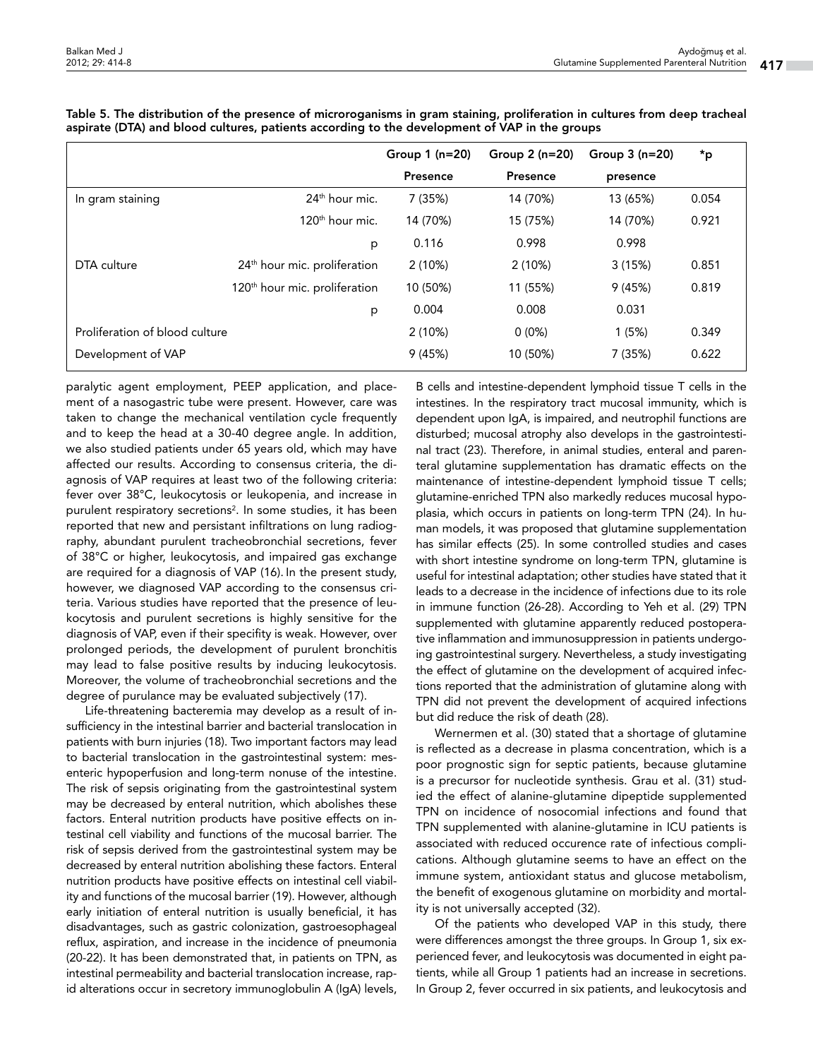|                                |                                           | Group $1$ (n=20) | Group $2(n=20)$ | Group $3(n=20)$ | *p    |
|--------------------------------|-------------------------------------------|------------------|-----------------|-----------------|-------|
|                                |                                           | Presence         | Presence        | presence        |       |
| In gram staining               | 24 <sup>th</sup> hour mic.                | 7 (35%)          | 14 (70%)        | 13 (65%)        | 0.054 |
|                                | 120 <sup>th</sup> hour mic.               | 14 (70%)         | 15 (75%)        | 14 (70%)        | 0.921 |
|                                | p                                         | 0.116            | 0.998           | 0.998           |       |
| DTA culture                    | 24 <sup>th</sup> hour mic. proliferation  | 2(10%)           | 2(10%)          | 3(15%)          | 0.851 |
|                                | 120 <sup>th</sup> hour mic. proliferation | 10 (50%)         | 11 (55%)        | 9(45%)          | 0.819 |
|                                | p                                         | 0.004            | 0.008           | 0.031           |       |
| Proliferation of blood culture |                                           | 2(10%)           | $0(0\%)$        | 1(5%)           | 0.349 |
| Development of VAP             |                                           | 9(45%)           | 10 (50%)        | 7 (35%)         | 0.622 |

Table 5. The distribution of the presence of microroganisms in gram staining, proliferation in cultures from deep tracheal aspirate (DTA) and blood cultures, patients according to the development of VAP in the groups

paralytic agent employment, PEEP application, and placement of a nasogastric tube were present. However, care was taken to change the mechanical ventilation cycle frequently and to keep the head at a 30-40 degree angle. In addition, we also studied patients under 65 years old, which may have affected our results. According to consensus criteria, the diagnosis of VAP requires at least two of the following criteria: fever over 38°C, leukocytosis or leukopenia, and increase in purulent respiratory secretions<sup>2</sup>. In some studies, it has been reported that new and persistant infiltrations on lung radiography, abundant purulent tracheobronchial secretions, fever of 38°C or higher, leukocytosis, and impaired gas exchange are required for a diagnosis of VAP (16). In the present study, however, we diagnosed VAP according to the consensus criteria. Various studies have reported that the presence of leukocytosis and purulent secretions is highly sensitive for the diagnosis of VAP, even if their specifity is weak. However, over prolonged periods, the development of purulent bronchitis may lead to false positive results by inducing leukocytosis. Moreover, the volume of tracheobronchial secretions and the degree of purulance may be evaluated subjectively (17).

Life-threatening bacteremia may develop as a result of insufficiency in the intestinal barrier and bacterial translocation in patients with burn injuries (18). Two important factors may lead to bacterial translocation in the gastrointestinal system: mesenteric hypoperfusion and long-term nonuse of the intestine. The risk of sepsis originating from the gastrointestinal system may be decreased by enteral nutrition, which abolishes these factors. Enteral nutrition products have positive effects on intestinal cell viability and functions of the mucosal barrier. The risk of sepsis derived from the gastrointestinal system may be decreased by enteral nutrition abolishing these factors. Enteral nutrition products have positive effects on intestinal cell viability and functions of the mucosal barrier (19). However, although early initiation of enteral nutrition is usually beneficial, it has disadvantages, such as gastric colonization, gastroesophageal reflux, aspiration, and increase in the incidence of pneumonia (20-22). It has been demonstrated that, in patients on TPN, as intestinal permeability and bacterial translocation increase, rapid alterations occur in secretory immunoglobulin A (IgA) levels,

B cells and intestine-dependent lymphoid tissue T cells in the intestines. In the respiratory tract mucosal immunity, which is dependent upon IgA, is impaired, and neutrophil functions are disturbed; mucosal atrophy also develops in the gastrointestinal tract (23). Therefore, in animal studies, enteral and parenteral glutamine supplementation has dramatic effects on the maintenance of intestine-dependent lymphoid tissue T cells; glutamine-enriched TPN also markedly reduces mucosal hypoplasia, which occurs in patients on long-term TPN (24). In human models, it was proposed that glutamine supplementation has similar effects (25). In some controlled studies and cases with short intestine syndrome on long-term TPN, glutamine is useful for intestinal adaptation; other studies have stated that it leads to a decrease in the incidence of infections due to its role in immune function (26-28). According to Yeh et al. (29) TPN supplemented with glutamine apparently reduced postoperative inflammation and immunosuppression in patients undergoing gastrointestinal surgery. Nevertheless, a study investigating the effect of glutamine on the development of acquired infections reported that the administration of glutamine along with TPN did not prevent the development of acquired infections but did reduce the risk of death (28).

Wernermen et al. (30) stated that a shortage of glutamine is reflected as a decrease in plasma concentration, which is a poor prognostic sign for septic patients, because glutamine is a precursor for nucleotide synthesis. Grau et al. (31) studied the effect of alanine-glutamine dipeptide supplemented TPN on incidence of nosocomial infections and found that TPN supplemented with alanine-glutamine in ICU patients is associated with reduced occurence rate of infectious complications. Although glutamine seems to have an effect on the immune system, antioxidant status and glucose metabolism, the benefit of exogenous glutamine on morbidity and mortality is not universally accepted (32).

Of the patients who developed VAP in this study, there were differences amongst the three groups. In Group 1, six experienced fever, and leukocytosis was documented in eight patients, while all Group 1 patients had an increase in secretions. In Group 2, fever occurred in six patients, and leukocytosis and